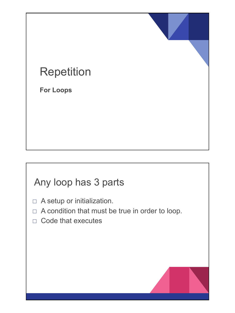# Repetition

**For Loops**

## Any loop has 3 parts

- □ A setup or initialization.
- $\Box$  A condition that must be true in order to loop.
- □ Code that executes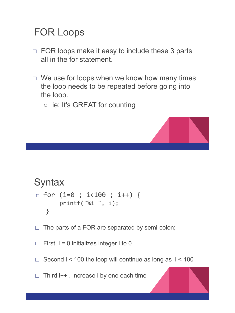

```
Syntax
\Box for (i=0 ; i<100 ; i++) {
          printf("%i ", i);
    }
\Box The parts of a FOR are separated by semi-colon;
\Box First, i = 0 initializes integer i to 0
\Box Second i < 100 the loop will continue as long as i < 100
\Box Third i++, increase i by one each time
```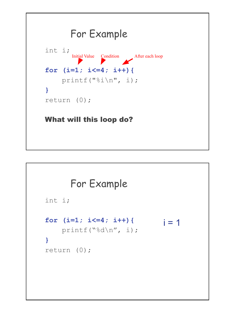

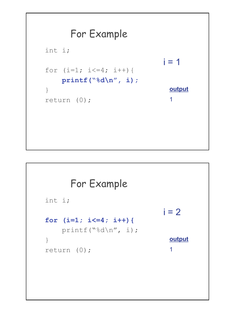

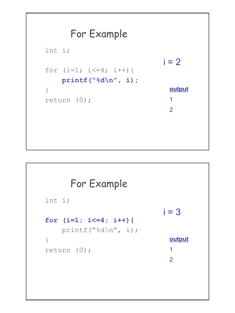

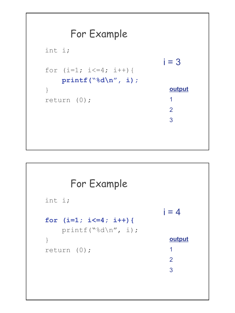

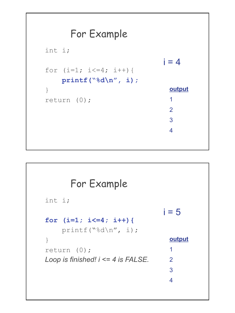

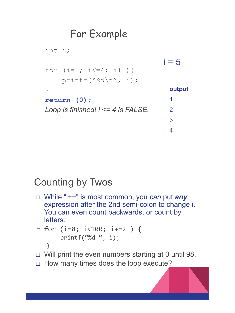

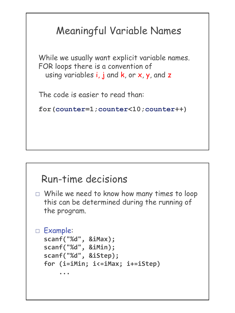## Meaningful Variable Names

While we usually want explicit variable names. FOR loops there is a convention of using variables  $i, j$  and  $k$ , or  $x, y$ , and  $z$ 

The code is easier to read than:

**for(counter=1;counter<10;counter++)**

#### Run-time decisions

□ While we need to know how many times to loop this can be determined during the running of the program.

```
□ Example:
  scanf("%d", &iMax);
  scanf("%d", &iMin);
  scanf("%d", &iStep);
  for (i=iMin; i<=iMax; i+=iStep)
       ...
```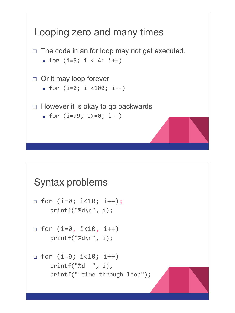

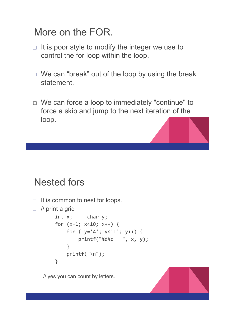## More on the FOR.

- $\Box$  It is poor style to modify the integer we use to control the for loop within the loop.
- $\Box$  We can "break" out of the loop by using the break statement.
- $\Box$  We can force a loop to immediately "continue" to force a skip and jump to the next iteration of the loop.

## Nested fors

```
\Box It is common to nest for loops.
\Box // print a grid
         int x; char y;
         for (x=1; x<10; x++) {
            for ( y='A'; y<-I'; y++) {
                  printf("%d%c ", x, y);
     }
             printf("\n");
         } 
   // yes you can count by letters.
```